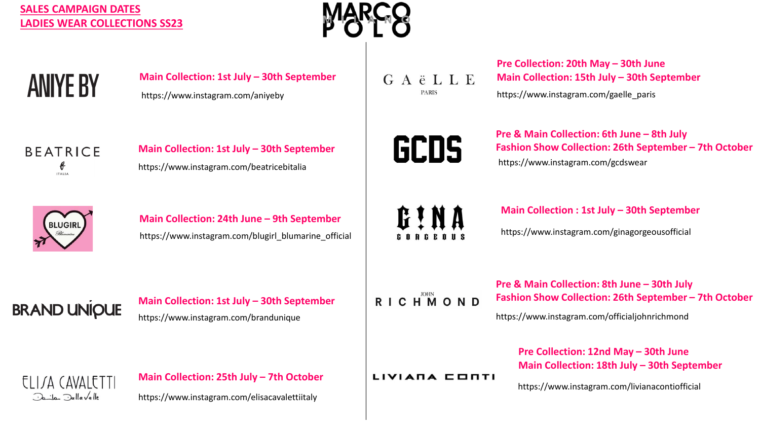## **SALES CAMPAIGN DATES LADIES WEAR COLLECTIONS SS23**



**ANIYE BY** 

**BEATRICE** € **ITALIA** 

https://www.instagram.com/aniyeby **Main Collection: 1st July – 30th September**

**Main Collection: 1st July – 30th September**

GAËLLE **PARIS** 

https://www.instagram.com/gaelle\_paris **Pre Collection: 20th May – 30th June Main Collection: 15th July – 30th September**



**Pre & Main Collection: 6th June – 8th July Fashion Show Collection: 26th September – 7th October** https://www.instagram.com/gcdswear



https://www.instagram.com/blugirl\_blumarine\_official **Main Collection: 24th June – 9th September**

https://www.instagram.com/beatricebitalia

GINA

**Main Collection : 1st July – 30th September**

https://www.instagram.com/ginagorgeousofficial

**BRAND UNIQUE** 

Jaila Jallavalle

https://www.instagram.com/brandunique **Main Collection: 1st July – 30th September** RICHMOND

**Pre & Main Collection: 8th June – 30th July Fashion Show Collection: 26th September – 7th October**

https://www.instagram.com/officialjohnrichmond

**Pre Collection: 12nd May – 30th June Main Collection: 18th July – 30th September**

https://www.instagram.com/livianacontiofficial

**Main Collection: 25th July – 7th October** ELITA CAVALETTI

https://www.instagram.com/elisacavalettiitaly

LIVIANA CONTI